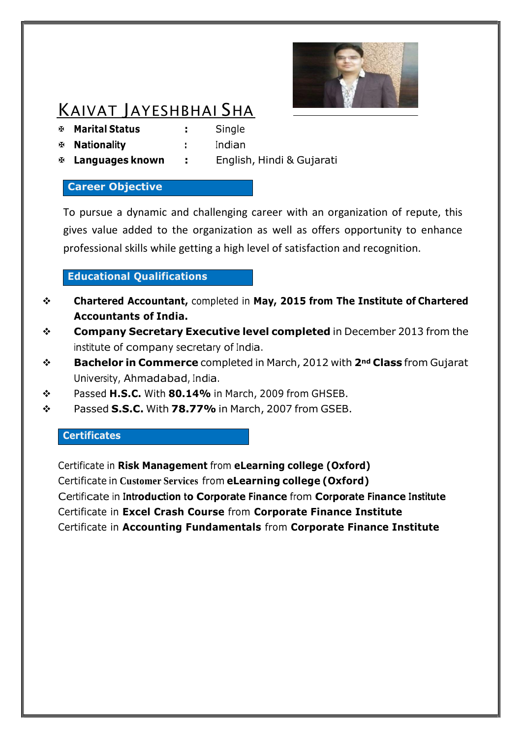

# KAIVAT JAYESHBHAI SHA

**Marital Status :** Single

**Nationality :** Indian

**Languages known :** English, Hindi & Gujarati

# **Career Objective**

To pursue a dynamic and challenging career with an organization of repute, this gives value added to the organization as well as offers opportunity to enhance professional skills while getting a high level of satisfaction and recognition.

# **Educational Qualifications**

- **Chartered Accountant,** completed in **May, 2015 from The Institute of Chartered Accountants of India.**
- **Company Secretary Executive level completed** in December 2013 from the institute of company secretary of India.
- **Bachelor in Commerce** completed in March, 2012 with **2nd Class** from Gujarat University, Ahmadabad, India.
- Passed **H.S.C.** With **80.14%** in March, 2009 from GHSEB.
- Passed **S.S.C.** With **78.77%** in March, 2007 from GSEB.

# **Certificates**

Certificate in **Risk Management** from **eLearning college (Oxford)** Certificate in **Customer Services** from **eLearning college (Oxford)** Certificate in **Introduction to Corporate Finance** from **Corporate Finance Institute** Certificate in **Excel Crash Course** from **Corporate Finance Institute** Certificate in **Accounting Fundamentals** from **Corporate Finance Institute**